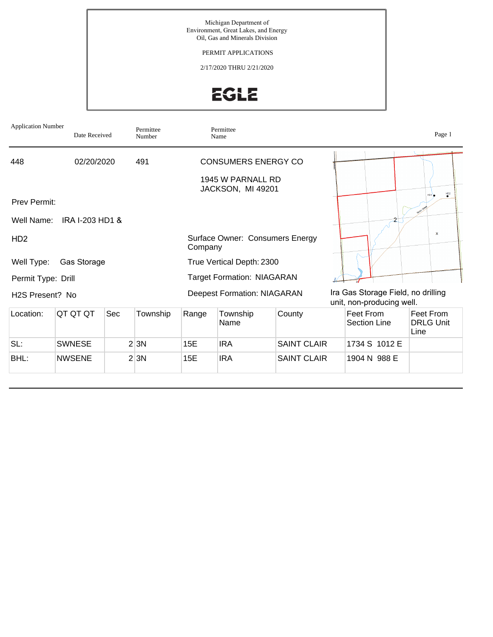Michigan Department of Environment, Great Lakes, and Energy Oil, Gas and Minerals Division

PERMIT APPLICATIONS

2/17/2020 THRU 2/21/2020

EGLE

| <b>Application Number</b>    | Date Received              |     | Permittee<br>Number |                                            | Permittee<br>Name          |                    |                                                                 | Page 1                                |
|------------------------------|----------------------------|-----|---------------------|--------------------------------------------|----------------------------|--------------------|-----------------------------------------------------------------|---------------------------------------|
| 448                          | 02/20/2020                 |     | 491                 |                                            | <b>CONSUMERS ENERGY CO</b> |                    |                                                                 |                                       |
|                              |                            |     |                     | 1945 W PARNALL RD<br>JACKSON, MI 49201     |                            |                    |                                                                 | $\frac{HD2}{2}$                       |
| Prev Permit:                 |                            |     |                     |                                            |                            |                    |                                                                 |                                       |
|                              | Well Name: IRA I-203 HD1 & |     |                     |                                            |                            |                    |                                                                 |                                       |
| HD <sub>2</sub>              |                            |     |                     | Surface Owner: Consumers Energy<br>Company |                            |                    |                                                                 | $\boldsymbol{\mathsf{x}}$             |
| Well Type:                   | Gas Storage                |     |                     |                                            | True Vertical Depth: 2300  |                    |                                                                 |                                       |
| Permit Type: Drill           |                            |     |                     | <b>Target Formation: NIAGARAN</b>          |                            |                    |                                                                 |                                       |
| H <sub>2</sub> S Present? No |                            |     |                     | <b>Deepest Formation: NIAGARAN</b>         |                            |                    | Ira Gas Storage Field, no drilling<br>unit, non-producing well. |                                       |
| Location:                    | QT QT QT                   | Sec | Township            | Range                                      | Township<br>Name           | County             | Feet From<br>Section Line                                       | Feet From<br><b>DRLG Unit</b><br>Line |
| SL:                          | <b>SWNESE</b>              |     | 2 3N                | 15E                                        | <b>IRA</b>                 | <b>SAINT CLAIR</b> | 1734 S 1012 E                                                   |                                       |
| BHL:                         | <b>NWSENE</b>              |     | 2 3N                | 15E                                        | <b>IRA</b>                 | <b>SAINT CLAIR</b> | 1904 N 988 E                                                    |                                       |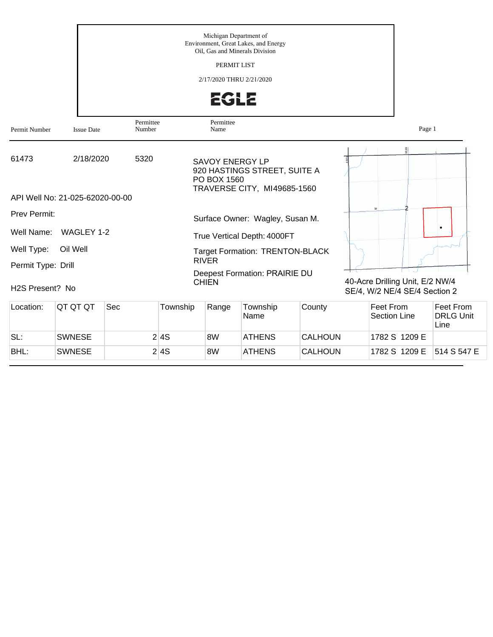|                    |                                              |                     | Michigan Department of<br>Environment, Great Lakes, and Energy<br>Oil, Gas and Minerals Division<br>PERMIT LIST<br>2/17/2020 THRU 2/21/2020<br><b>EGLE</b> |                                                                  |
|--------------------|----------------------------------------------|---------------------|------------------------------------------------------------------------------------------------------------------------------------------------------------|------------------------------------------------------------------|
| Permit Number      | <b>Issue Date</b>                            | Permittee<br>Number | Permittee<br>Name                                                                                                                                          | Page 1                                                           |
| 61473              | 2/18/2020<br>API Well No: 21-025-62020-00-00 | 5320                | <b>SAVOY ENERGY LP</b><br>920 HASTINGS STREET, SUITE A<br>PO BOX 1560<br>TRAVERSE CITY, MI49685-1560                                                       | $\frac{66}{2}$                                                   |
| Prev Permit:       |                                              |                     | Surface Owner: Wagley, Susan M.                                                                                                                            |                                                                  |
| Well Name:         | WAGLEY 1-2                                   |                     | True Vertical Depth: 4000FT                                                                                                                                |                                                                  |
| Well Type:         | Oil Well                                     |                     | <b>Target Formation: TRENTON-BLACK</b><br><b>RIVER</b>                                                                                                     |                                                                  |
| Permit Type: Drill |                                              |                     | Deepest Formation: PRAIRIE DU                                                                                                                              |                                                                  |
| H2S Present? No    |                                              |                     | <b>CHIEN</b>                                                                                                                                               | 40-Acre Drilling Unit, E/2 NW/4<br>SE/4, W/2 NE/4 SE/4 Section 2 |

| Location: | IQT QT QT     | Sec | Township | Range | Township<br>Name | County         | Feet From<br>Section Line | Feet From<br><b>DRLG Unit</b><br>Line |
|-----------|---------------|-----|----------|-------|------------------|----------------|---------------------------|---------------------------------------|
| SL:       | <b>SWNESE</b> |     | 2 4S     | 8W    | <b>ATHENS</b>    | CALHOUN        | 1782 S 1209 E             |                                       |
| BHL:      | <b>SWNESE</b> |     | 2 4 S    | 8W    | <b>ATHENS</b>    | <b>CALHOUN</b> | 1782 S 1209 E             | 514 S 547 E                           |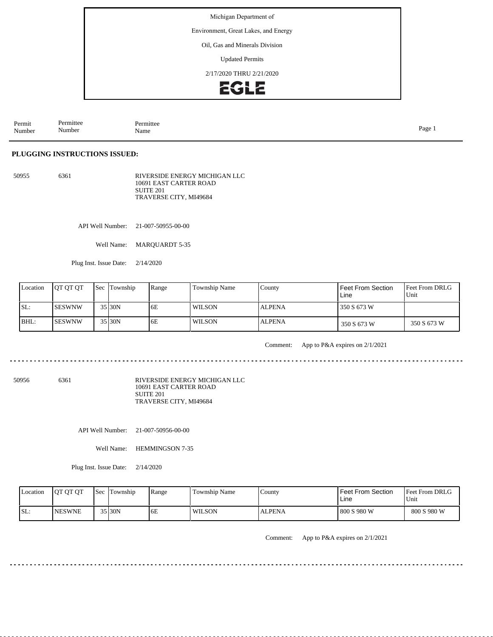Environment, Great Lakes, and Energy

#### Oil, Gas and Minerals Division

Updated Permits

2/17/2020 THRU 2/21/2020



Permit Number Permittee Number Permittee<br>Name Name Page 1

## **PLUGGING INSTRUCTIONS ISSUED:**

50955 6361 RIVERSIDE ENERGY MICHIGAN LLC 10691 EAST CARTER ROAD SUITE 201 TRAVERSE CITY, MI49684

API Well Number: 21-007-50955-00-00

Well Name: MARQUARDT 5-35

Plug Inst. Issue Date: 2/14/2020

| Location | <b>IOT OT OT</b> | <b>Sec</b> Township | Range | <b>Township Name</b> | County        | Feet From Section<br>Line | <b>Feet From DRLG</b><br>Unit |
|----------|------------------|---------------------|-------|----------------------|---------------|---------------------------|-------------------------------|
| SL:      | <b>ISESWNW</b>   | 35 30N              | 6E    | <b>WILSON</b>        | <b>ALPENA</b> | 350 S 673 W               |                               |
| BHL:     | ISESWNW          | 35 30N              | 6E    | <b>WILSON</b>        | <b>ALPENA</b> | 350 S 673 W               | 350 S 673 W                   |

Comment: App to P&A expires on 2/1/2021

50956 6361

RIVERSIDE ENERGY MICHIGAN LLC 10691 EAST CARTER ROAD SUITE 201 TRAVERSE CITY, MI49684

API Well Number: 21-007-50956-00-00

Well Name: HEMMINGSON 7-35

Plug Inst. Issue Date: 2/14/2020

| Location | <b>JOT OT OT</b> | <b>Sec</b> | Township | Range | Township Name | County        | <b>Feet From Section</b><br>Line | <b>Feet From DRLG</b><br>Unit |
|----------|------------------|------------|----------|-------|---------------|---------------|----------------------------------|-------------------------------|
| SL:      | <b>INESWNE</b>   |            | 35 30N   | 6E    | <b>WILSON</b> | <b>ALPENA</b> | 800 S 980 W                      | 800 S 980 W                   |

Comment: App to P&A expires on 2/1/2021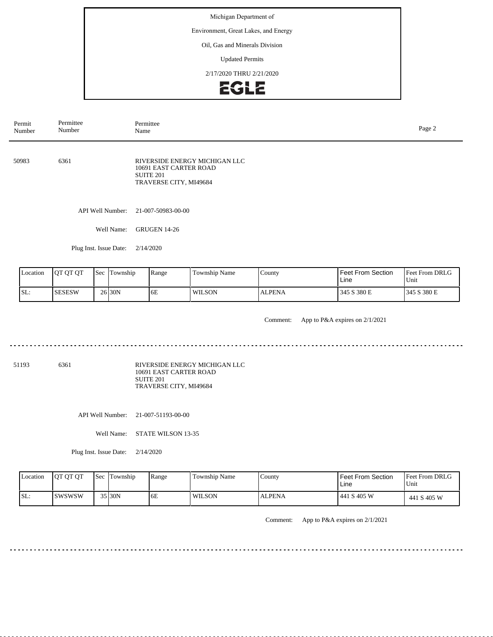Environment, Great Lakes, and Energy

## Oil, Gas and Minerals Division

Updated Permits

2/17/2020 THRU 2/21/2020



| Permit<br>Number                     | Permittee<br>Number |  |                        | Permittee<br>Name                                                                                     |               |               |                     |                     |  |  |
|--------------------------------------|---------------------|--|------------------------|-------------------------------------------------------------------------------------------------------|---------------|---------------|---------------------|---------------------|--|--|
| 50983                                | 6361                |  |                        | RIVERSIDE ENERGY MICHIGAN LLC<br>10691 EAST CARTER ROAD<br><b>SUITE 201</b><br>TRAVERSE CITY, MI49684 |               |               |                     |                     |  |  |
|                                      |                     |  | API Well Number:       | 21-007-50983-00-00                                                                                    |               |               |                     |                     |  |  |
|                                      |                     |  | Well Name:             | <b>GRUGEN 14-26</b>                                                                                   |               |               |                     |                     |  |  |
|                                      |                     |  | Plug Inst. Issue Date: | 2/14/2020                                                                                             |               |               |                     |                     |  |  |
| QT QT QT<br>Sec Township<br>Location |                     |  |                        | Range                                                                                                 | Township Name | County        | Feet From Section   | Feet From DRLG      |  |  |
| SL:                                  | <b>SESESW</b>       |  | 26 30N                 | 6E                                                                                                    | <b>WILSON</b> | <b>ALPENA</b> | Line<br>345 S 380 E | Unit<br>345 S 380 E |  |  |

Comment: App to P&A expires on 2/1/2021

51193 6361

RIVERSIDE ENERGY MICHIGAN LLC 10691 EAST CARTER ROAD SUITE 201 TRAVERSE CITY, MI49684

API Well Number: 21-007-51193-00-00

Well Name: STATE WILSON 13-35

Plug Inst. Issue Date: 2/14/2020

| Location | <b>OT OT OT</b> | <b>Sec</b> | Township | Range | <b>Township Name</b> | County        | Feet From Section<br>Line | <b>Feet From DRLG</b><br>Unit |
|----------|-----------------|------------|----------|-------|----------------------|---------------|---------------------------|-------------------------------|
| SL:      | Iswswsw         |            | $35$ 30N | '6E   | <b>WILSON</b>        | <b>ALPENA</b> | 441 S 405 W               | 441 S 405 W                   |

Comment: App to P&A expires on 2/1/2021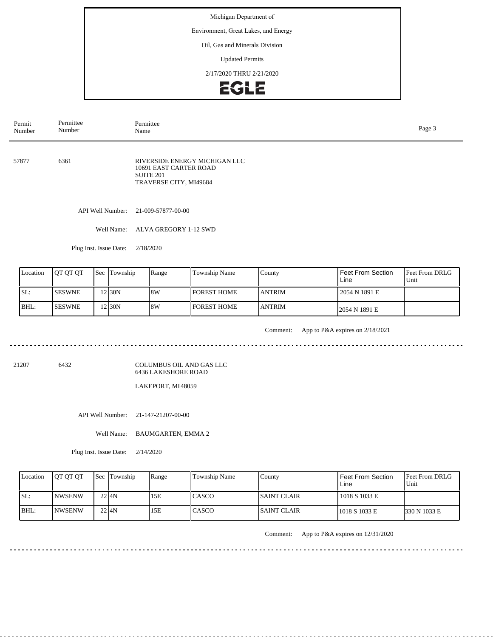Environment, Great Lakes, and Energy

## Oil, Gas and Minerals Division

Updated Permits

2/17/2020 THRU 2/21/2020



| Permit<br>Number                    | Permittee<br>Number                                          |  |                  | Permittee<br>Name                                                                                     |  |  |                          |                |  |  |  |
|-------------------------------------|--------------------------------------------------------------|--|------------------|-------------------------------------------------------------------------------------------------------|--|--|--------------------------|----------------|--|--|--|
| 57877                               | 6361                                                         |  |                  | RIVERSIDE ENERGY MICHIGAN LLC<br>10691 EAST CARTER ROAD<br><b>SUITE 201</b><br>TRAVERSE CITY, MI49684 |  |  |                          |                |  |  |  |
|                                     |                                                              |  | API Well Number: | 21-009-57877-00-00                                                                                    |  |  |                          |                |  |  |  |
|                                     |                                                              |  | Well Name:       | ALVA GREGORY 1-12 SWD                                                                                 |  |  |                          |                |  |  |  |
| Plug Inst. Issue Date:<br>2/18/2020 |                                                              |  |                  |                                                                                                       |  |  |                          |                |  |  |  |
| Location                            | QT QT QT<br>Sec Township<br>Range<br>Township Name<br>County |  |                  |                                                                                                       |  |  | <b>Feet From Section</b> | Feet From DRLG |  |  |  |

| Location | <b>OT OT OT</b> | Sec Township | Range | Township Name      | County        | <b>Feet From Section</b><br>Line | <b>Feet From DRLG</b><br>Unit |
|----------|-----------------|--------------|-------|--------------------|---------------|----------------------------------|-------------------------------|
| SL:      | <b>ISESWNE</b>  | $2$  30N     | 18W   | <b>FOREST HOME</b> | <b>ANTRIM</b> | 2054 N 1891 E                    |                               |
| BHL:     | <b>ISESWNE</b>  | 2 30N        | 8W    | <b>FOREST HOME</b> | <b>ANTRIM</b> | 2054 N 1891 E                    |                               |

<u>. . . . . . . . . . . . . .</u>

Comment: App to P&A expires on 2/18/2021

<u>. . . . . . . . . . . . . . . . .</u>

21207 6432

COLUMBUS OIL AND GAS LLC 6436 LAKESHORE ROAD

LAKEPORT, MI 48059

API Well Number: 21-147-21207-00-00

Well Name: BAUMGARTEN, EMMA 2

Plug Inst. Issue Date: 2/14/2020

| Location | <b>OT OT OT</b> | <b>Sec Township</b> | Range | <b>Township Name</b> | County       | <b>Feet From Section</b><br>∟ine | <b>Feet From DRLG</b><br>Unit |
|----------|-----------------|---------------------|-------|----------------------|--------------|----------------------------------|-------------------------------|
| ISL:     | <b>INWSENW</b>  | 22 I <sub>4</sub> N | 15E   | CASCO                | ISAINT CLAIR | 1018 S 1033 E                    |                               |
| BHL:     | INWSENW         | $22$ $4N$           | 15E   | CASCO                | ISAINT CLAIR | 1018 S 1033 E                    | 330 N 1033 E                  |

Comment: App to P&A expires on 12/31/2020